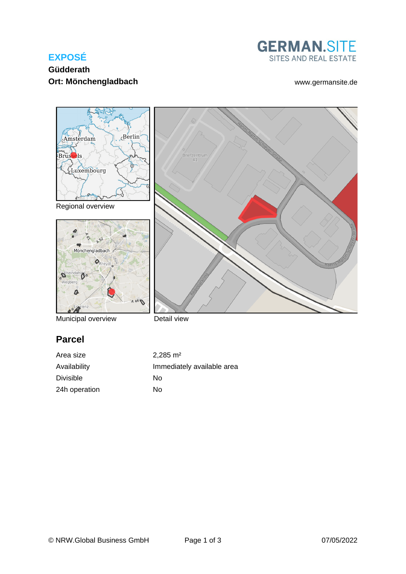# **EXPOSÉ**



### **Güdderath Ort: Mönchengladbach** [www.germansite.de](http://www.germansite.de)



Municipal overview

Detail view

# **Parcel**

| Area size     | $2.285 \text{ m}^2$        |
|---------------|----------------------------|
| Availability  | Immediately available area |
| Divisible     | Nο                         |
| 24h operation | Nο                         |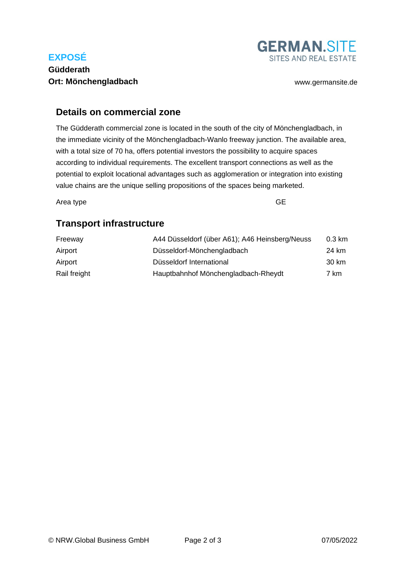## **EXPOSÉ**

#### **Güdderath Ort: Mönchengladbach** [www.germansite.de](http://www.germansite.de)



#### **Details on commercial zone**

The Güdderath commercial zone is located in the south of the city of Mönchengladbach, in the immediate vicinity of the Mönchengladbach-Wanlo freeway junction. The available area, with a total size of 70 ha, offers potential investors the possibility to acquire spaces according to individual requirements. The excellent transport connections as well as the potential to exploit locational advantages such as agglomeration or integration into existing value chains are the unique selling propositions of the spaces being marketed.

Area type GE

## **Transport infrastructure**

| Freeway      | A44 Düsseldorf (über A61); A46 Heinsberg/Neuss | 0.3 km |
|--------------|------------------------------------------------|--------|
| Airport      | Düsseldorf-Mönchengladbach                     | 24 km  |
| Airport      | Düsseldorf International                       | 30 km  |
| Rail freight | Hauptbahnhof Mönchengladbach-Rheydt            | 7 km   |